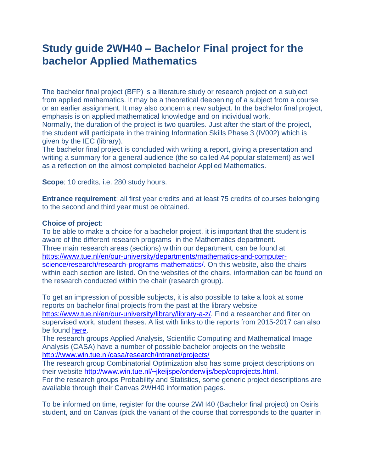## **Study guide 2WH40 – Bachelor Final project for the bachelor Applied Mathematics**

The bachelor final project (BFP) is a literature study or research project on a subject from applied mathematics. It may be a theoretical deepening of a subject from a course or an earlier assignment. It may also concern a new subject. In the bachelor final project, emphasis is on applied mathematical knowledge and on individual work. Normally, the duration of the project is two quartiles. Just after the start of the project, the student will participate in the training Information Skills Phase 3 (IV002) which is given by the IEC (library).

The bachelor final project is concluded with writing a report, giving a presentation and writing a summary for a general audience (the so-called A4 popular statement) as well as a reflection on the almost completed bachelor Applied Mathematics.

**Scope**; 10 credits, i.e. 280 study hours.

**Entrance requirement**: all first year credits and at least 75 credits of courses belonging to the second and third year must be obtained.

## **Choice of project**:

To be able to make a choice for a bachelor project, it is important that the student is aware of the different research programs in the Mathematics department. Three main research areas (sections) within our department, can be found at [https://www.tue.nl/en/our-university/departments/mathematics-and-computer](https://www.tue.nl/en/our-university/departments/mathematics-and-computer-science/research/research-programs-mathematics/)[science/research/research-programs-mathematics/.](https://www.tue.nl/en/our-university/departments/mathematics-and-computer-science/research/research-programs-mathematics/) On this website, also the chairs within each section are listed. On the websites of the chairs, information can be found on the research conducted within the chair (research group).

To get an impression of possible subjects, it is also possible to take a look at some reports on bachelor final projects from the past at the library website [https://www.tue.nl/en/our-university/library/library-a-z/.](https://www.tue.nl/en/our-university/library/library-a-z/) Find a researcher and filter on supervised work, student theses. A list with links to the reports from 2015-2017 can also be found [here.](https://canvas.tue.nl/files/884509/download?download_frd=1)

The research groups Applied Analysis, Scientific Computing and Mathematical Image Analysis (CASA) have a number of possible bachelor projects on the website <http://www.win.tue.nl/casa/research/intranet/projects/>

The research group Combinatorial Optimization also has some project descriptions on their website [http://www.win.tue.nl/~jkeijspe/onderwijs/bep/coprojects.html.](http://www.win.tue.nl/~jkeijspe/onderwijs/bep/coprojects.html)

For the research groups Probability and Statistics, some generic project descriptions are available through their Canvas 2WH40 information pages.

To be informed on time, register for the course 2WH40 (Bachelor final project) on Osiris student, and on Canvas (pick the variant of the course that corresponds to the quarter in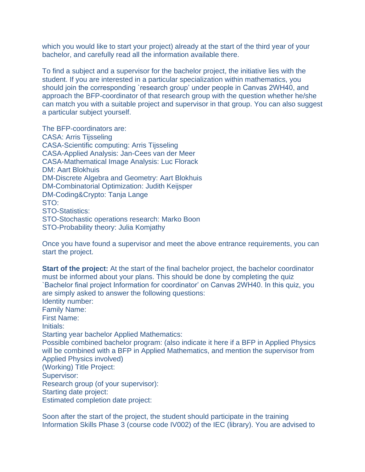which you would like to start your project) already at the start of the third year of your bachelor, and carefully read all the information available there.

To find a subject and a supervisor for the bachelor project, the initiative lies with the student. If you are interested in a particular specialization within mathematics, you should join the corresponding `research group' under people in Canvas 2WH40, and approach the BFP-coordinator of that research group with the question whether he/she can match you with a suitable project and supervisor in that group. You can also suggest a particular subject yourself.

The BFP-coordinators are: CASA: Arris Tijsseling CASA-Scientific computing: Arris Tijsseling CASA-Applied Analysis: Jan-Cees van der Meer CASA-Mathematical Image Analysis: Luc Florack DM: Aart Blokhuis DM-Discrete Algebra and Geometry: Aart Blokhuis DM-Combinatorial Optimization: Judith Keijsper DM-Coding&Crypto: Tanja Lange STO: STO-Statistics: STO-Stochastic operations research: Marko Boon STO-Probability theory: Julia Komjathy

Once you have found a supervisor and meet the above entrance requirements, you can start the project.

**Start of the project:** At the start of the final bachelor project, the bachelor coordinator must be informed about your plans. This should be done by completing the quiz `Bachelor final project Information for coordinator' on Canvas 2WH40. In this quiz, you are simply asked to answer the following questions: Identity number: Family Name: First Name: Initials: Starting year bachelor Applied Mathematics: Possible combined bachelor program: (also indicate it here if a BFP in Applied Physics will be combined with a BFP in Applied Mathematics, and mention the supervisor from Applied Physics involved) (Working) Title Project: Supervisor: Research group (of your supervisor): Starting date project: Estimated completion date project:

Soon after the start of the project, the student should participate in the training Information Skills Phase 3 (course code IV002) of the IEC (library). You are advised to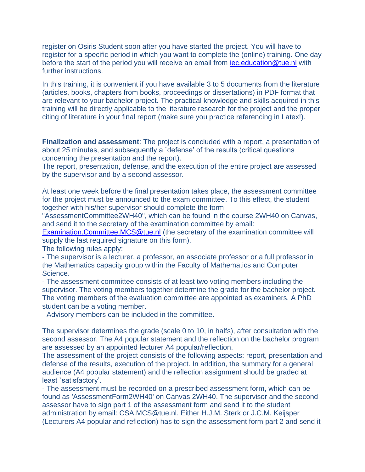register on Osiris Student soon after you have started the project. You will have to register for a specific period in which you want to complete the (online) training. One day before the start of the period you will receive an email from [iec.education@tue.nl](mailto:iec.education@tue.nl) with further instructions.

In this training, it is convenient if you have available 3 to 5 documents from the literature (articles, books, chapters from books, proceedings or dissertations) in PDF format that are relevant to your bachelor project. The practical knowledge and skills acquired in this training will be directly applicable to the literature research for the project and the proper citing of literature in your final report (make sure you practice referencing in Latex!).

**Finalization and assessment**: The project is concluded with a report, a presentation of about 25 minutes, and subsequently a `defense' of the results (critical questions concerning the presentation and the report).

The report, presentation, defense, and the execution of the entire project are assessed by the supervisor and by a second assessor.

At least one week before the final presentation takes place, the assessment committee for the project must be announced to the exam committee. To this effect, the student together with his/her supervisor should complete the form

"AssessmentCommittee2WH40", which can be found in the course 2WH40 on Canvas, and send it to the secretary of the examination committee by email:

[Examination.Committee.MCS@tue.nl](mailto:Examination.Committee.MCS@tue.nl) (the secretary of the examination committee will supply the last required signature on this form).

The following rules apply:

- The supervisor is a lecturer, a professor, an associate professor or a full professor in the Mathematics capacity group within the Faculty of Mathematics and Computer Science.

- The assessment committee consists of at least two voting members including the supervisor. The voting members together determine the grade for the bachelor project. The voting members of the evaluation committee are appointed as examiners. A PhD student can be a voting member.

- Advisory members can be included in the committee.

The supervisor determines the grade (scale 0 to 10, in halfs), after consultation with the second assessor. The A4 popular statement and the reflection on the bachelor program are assessed by an appointed lecturer A4 popular/reflection.

The assessment of the project consists of the following aspects: report, presentation and defense of the results, execution of the project. In addition, the summary for a general audience (A4 popular statement) and the reflection assignment should be graded at least `satisfactory'.

- The assessment must be recorded on a prescribed assessment form, which can be found as 'AssessmentForm2WH40' on Canvas 2WH40. The supervisor and the second assessor have to sign part 1 of the assessment form and send it to the student administration by email: CSA.MCS@tue.nl. Either H.J.M. Sterk or J.C.M. Keijsper (Lecturers A4 popular and reflection) has to sign the assessment form part 2 and send it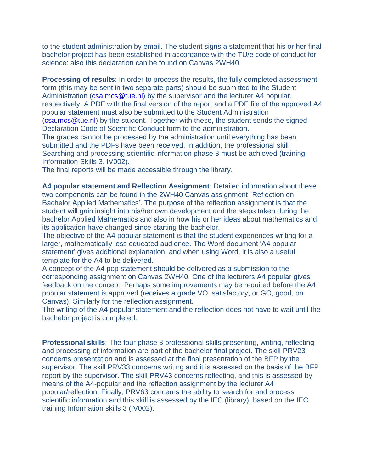to the student administration by email. The student signs a statement that his or her final bachelor project has been established in accordance with the TU/e code of conduct for science: also this declaration can be found on Canvas 2WH40.

**Processing of results:** In order to process the results, the fully completed assessment form (this may be sent in two separate parts) should be submitted to the Student Administration [\(csa.mcs@tue.nl\)](mailto:csa.mcs@tue.nl) by the supervisor and the lecturer A4 popular, respectively. A PDF with the final version of the report and a PDF file of the approved A4 popular statement must also be submitted to the Student Administration [\(csa.mcs@tue.nl\)](mailto:csa.mcs@tue.nl) by the student. Together with these, the student sends the signed Declaration Code of Scientific Conduct form to the administration.

The grades cannot be processed by the administration until everything has been submitted and the PDFs have been received. In addition, the professional skill Searching and processing scientific information phase 3 must be achieved (training Information Skills 3, IV002).

The final reports will be made accessible through the library.

**A4 popular statement and Reflection Assignment**: Detailed information about these two components can be found in the 2WH40 Canvas assignment `Reflection on Bachelor Applied Mathematics'. The purpose of the reflection assignment is that the student will gain insight into his/her own development and the steps taken during the bachelor Applied Mathematics and also in how his or her ideas about mathematics and its application have changed since starting the bachelor.

The objective of the A4 popular statement is that the student experiences writing for a larger, mathematically less educated audience. The Word document 'A4 popular statement' gives additional explanation, and when using Word, it is also a useful template for the A4 to be delivered.

A concept of the A4 pop statement should be delivered as a submission to the corresponding assignment on Canvas 2WH40. One of the lecturers A4 popular gives feedback on the concept. Perhaps some improvements may be required before the A4 popular statement is approved (receives a grade VO, satisfactory, or GO, good, on Canvas). Similarly for the reflection assignment.

The writing of the A4 popular statement and the reflection does not have to wait until the bachelor project is completed.

**Professional skills**: The four phase 3 professional skills presenting, writing, reflecting and processing of information are part of the bachelor final project. The skill PRV23 concerns presentation and is assessed at the final presentation of the BFP by the supervisor. The skill PRV33 concerns writing and it is assessed on the basis of the BFP report by the supervisor. The skill PRV43 concerns reflecting, and this is assessed by means of the A4-popular and the reflection assignment by the lecturer A4 popular/reflection. Finally, PRV63 concerns the ability to search for and process scientific information and this skill is assessed by the IEC (library), based on the IEC training Information skills 3 (IV002).